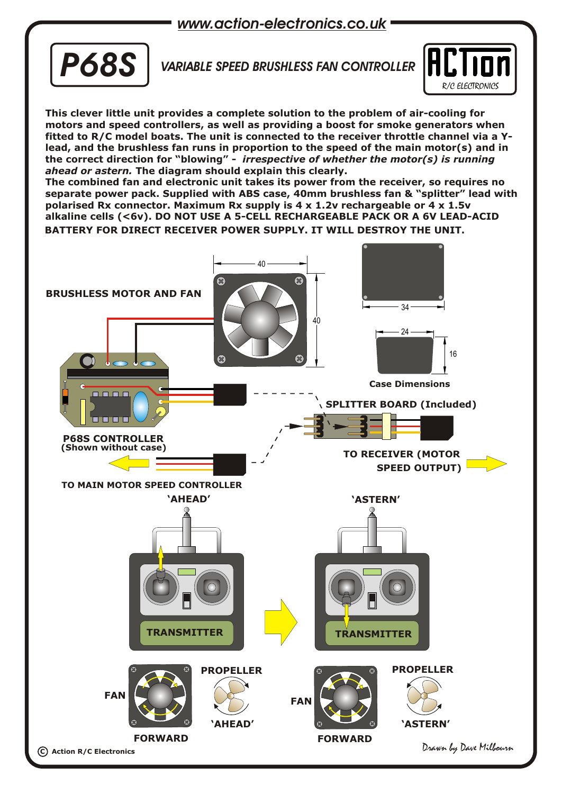*www.action-electronics.co.uk*



## *VARIABLE SPEED BRUSHLESS FAN CONTROLLER*



**This clever little unit provides a complete solution to the problem of air-cooling for motors and speed controllers, as well as providing a boost for smoke generators when fitted to R/C model boats. The unit is connected to the receiver throttle channel via a Ylead, and the brushless fan runs in proportion to the speed of the main motor(s) and in the correct direction for "blowing" -** *irrespective of whether the motor(s) is running ahead or astern.* **The diagram should explain this clearly.**

**The combined fan and electronic unit takes its power from the receiver, so requires no separate power pack. Supplied with ABS case, 40mm brushless fan & "splitter" lead with polarised Rx connector. Maximum Rx supply is 4 x 1.2v rechargeable or 4 x 1.5v alkaline cells (<6v). DO NOT USE A 5-CELL RECHARGEABLE PACK OR A 6V LEAD-ACID BATTERY FOR DIRECT RECEIVER POWER SUPPLY. IT WILL DESTROY THE UNIT.**